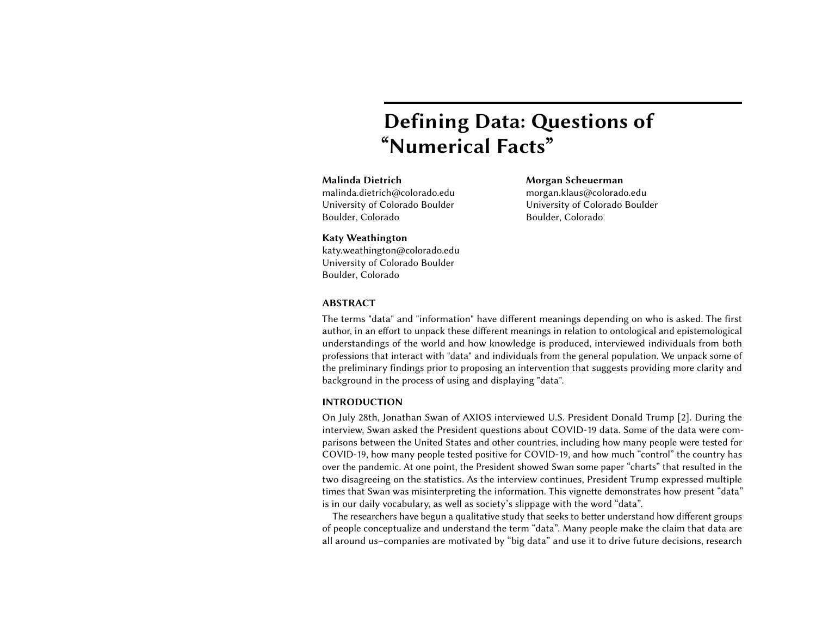# Defining Data: Questions of "Numerical Facts"

### Malinda Dietrich

malinda.dietrich@colorado.edu University of Colorado Boulder Boulder, Colorado

Morgan Scheuerman morgan.klaus@colorado.edu University of Colorado Boulder Boulder, Colorado

#### Katy Weathington

katy.weathington@colorado.edu University of Colorado Boulder Boulder, Colorado

#### ABSTRACT

The terms "data" and "information" have different meanings depending on who is asked. The first author, in an effort to unpack these different meanings in relation to ontological and epistemological understandings of the world and how knowledge is produced, interviewed individuals from both professions that interact with "data" and individuals from the general population. We unpack some of the preliminary findings prior to proposing an intervention that suggests providing more clarity and background in the process of using and displaying "data".

#### INTRODUCTION

On July 28th, Jonathan Swan of AXIOS interviewed U.S. President Donald Trump [\[2\]](#page-4-0). During the interview, Swan asked the President questions about COVID-19 data. Some of the data were comparisons between the United States and other countries, including how many people were tested for COVID-19, how many people tested positive for COVID-19, and how much "control" the country has over the pandemic. At one point, the President showed Swan some paper "charts" that resulted in the two disagreeing on the statistics. As the interview continues, President Trump expressed multiple times that Swan was misinterpreting the information. This vignette demonstrates how present "data" is in our daily vocabulary, as well as society's slippage with the word "data".

The researchers have begun a qualitative study that seeks to better understand how different groups of people conceptualize and understand the term "data". Many people make the claim that data are all around us–companies are motivated by "big data" and use it to drive future decisions, research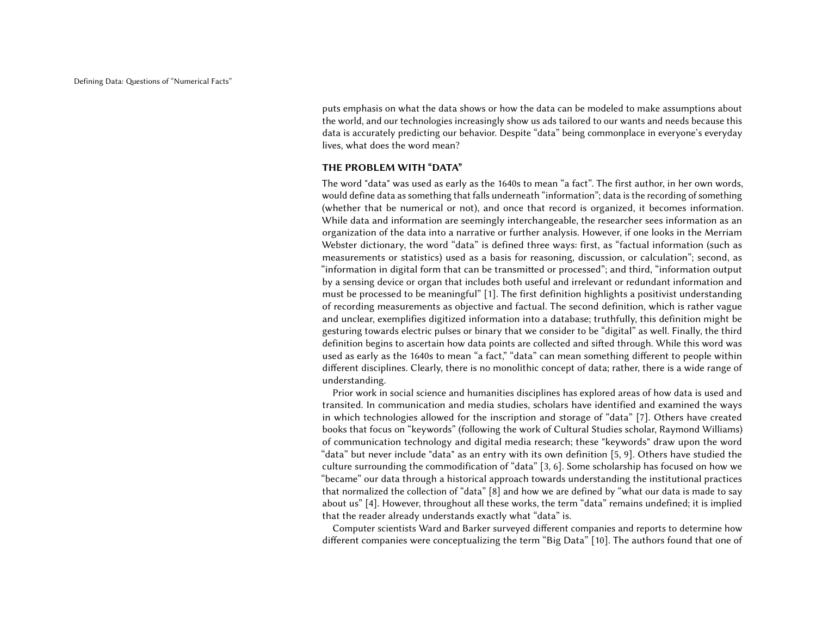puts emphasis on what the data shows or how the data can be modeled to make assumptions about the world, and our technologies increasingly show us ads tailored to our wants and needs because this data is accurately predicting our behavior. Despite "data" being commonplace in everyone's everyday lives, what does the word mean?

#### THE PROBLEM WITH "DATA"

The word "data" was used as early as the 1640s to mean "a fact". The first author, in her own words, would define data as something that falls underneath "information"; data is the recording of something (whether that be numerical or not), and once that record is organized, it becomes information. While data and information are seemingly interchangeable, the researcher sees information as an organization of the data into a narrative or further analysis. However, if one looks in the Merriam Webster dictionary, the word "data" is defined three ways: first, as "factual information (such as measurements or statistics) used as a basis for reasoning, discussion, or calculation"; second, as "information in digital form that can be transmitted or processed"; and third, "information output by a sensing device or organ that includes both useful and irrelevant or redundant information and must be processed to be meaningful" [\[1\]](#page-4-1). The first definition highlights a positivist understanding of recording measurements as objective and factual. The second definition, which is rather vague and unclear, exemplifies digitized information into a database; truthfully, this definition might be gesturing towards electric pulses or binary that we consider to be "digital" as well. Finally, the third definition begins to ascertain how data points are collected and sifted through. While this word was used as early as the 1640s to mean "a fact," "data" can mean something different to people within different disciplines. Clearly, there is no monolithic concept of data; rather, there is a wide range of understanding.

Prior work in social science and humanities disciplines has explored areas of how data is used and transited. In communication and media studies, scholars have identified and examined the ways in which technologies allowed for the inscription and storage of "data" [\[7\]](#page-4-2). Others have created books that focus on "keywords" (following the work of Cultural Studies scholar, Raymond Williams) of communication technology and digital media research; these "keywords" draw upon the word "data" but never include "data" as an entry with its own definition [\[5,](#page-4-3) [9\]](#page-4-4). Others have studied the culture surrounding the commodification of "data" [\[3,](#page-4-5) [6\]](#page-4-6). Some scholarship has focused on how we "became" our data through a historical approach towards understanding the institutional practices that normalized the collection of "data" [\[8\]](#page-4-7) and how we are defined by "what our data is made to say about us" [\[4\]](#page-4-8). However, throughout all these works, the term "data" remains undefined; it is implied that the reader already understands exactly what "data" is.

Computer scientists Ward and Barker surveyed different companies and reports to determine how different companies were conceptualizing the term "Big Data" [\[10\]](#page-4-9). The authors found that one of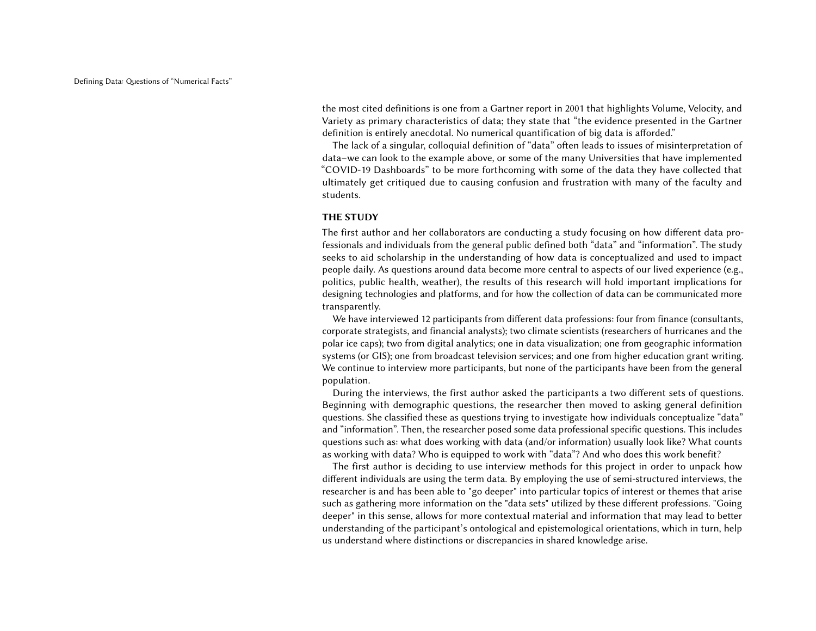the most cited definitions is one from a Gartner report in 2001 that highlights Volume, Velocity, and Variety as primary characteristics of data; they state that "the evidence presented in the Gartner definition is entirely anecdotal. No numerical quantification of big data is afforded."

The lack of a singular, colloquial definition of "data" often leads to issues of misinterpretation of data–we can look to the example above, or some of the many Universities that have implemented "COVID-19 Dashboards" to be more forthcoming with some of the data they have collected that ultimately get critiqued due to causing confusion and frustration with many of the faculty and students.

#### THE STUDY

The first author and her collaborators are conducting a study focusing on how different data professionals and individuals from the general public defined both "data" and "information". The study seeks to aid scholarship in the understanding of how data is conceptualized and used to impact people daily. As questions around data become more central to aspects of our lived experience (e.g., politics, public health, weather), the results of this research will hold important implications for designing technologies and platforms, and for how the collection of data can be communicated more transparently.

We have interviewed 12 participants from different data professions: four from finance (consultants, corporate strategists, and financial analysts); two climate scientists (researchers of hurricanes and the polar ice caps); two from digital analytics; one in data visualization; one from geographic information systems (or GIS); one from broadcast television services; and one from higher education grant writing. We continue to interview more participants, but none of the participants have been from the general population.

During the interviews, the first author asked the participants a two different sets of questions. Beginning with demographic questions, the researcher then moved to asking general definition questions. She classified these as questions trying to investigate how individuals conceptualize "data" and "information". Then, the researcher posed some data professional specific questions. This includes questions such as: what does working with data (and/or information) usually look like? What counts as working with data? Who is equipped to work with "data"? And who does this work benefit?

The first author is deciding to use interview methods for this project in order to unpack how different individuals are using the term data. By employing the use of semi-structured interviews, the researcher is and has been able to "go deeper" into particular topics of interest or themes that arise such as gathering more information on the "data sets" utilized by these different professions. "Going deeper" in this sense, allows for more contextual material and information that may lead to better understanding of the participant's ontological and epistemological orientations, which in turn, help us understand where distinctions or discrepancies in shared knowledge arise.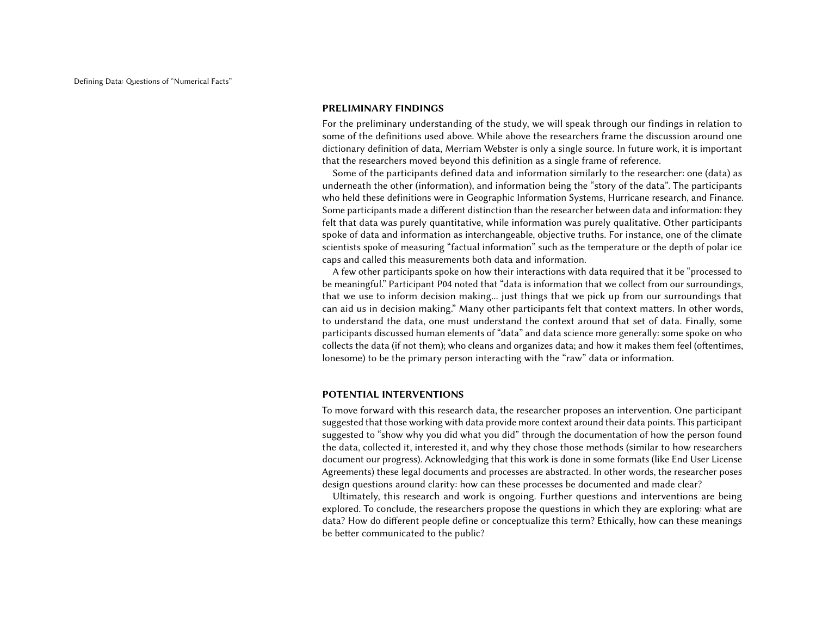#### PRELIMINARY FINDINGS

For the preliminary understanding of the study, we will speak through our findings in relation to some of the definitions used above. While above the researchers frame the discussion around one dictionary definition of data, Merriam Webster is only a single source. In future work, it is important that the researchers moved beyond this definition as a single frame of reference.

Some of the participants defined data and information similarly to the researcher: one (data) as underneath the other (information), and information being the "story of the data". The participants who held these definitions were in Geographic Information Systems, Hurricane research, and Finance. Some participants made a different distinction than the researcher between data and information: they felt that data was purely quantitative, while information was purely qualitative. Other participants spoke of data and information as interchangeable, objective truths. For instance, one of the climate scientists spoke of measuring "factual information" such as the temperature or the depth of polar ice caps and called this measurements both data and information.

A few other participants spoke on how their interactions with data required that it be "processed to be meaningful." Participant P04 noted that "data is information that we collect from our surroundings, that we use to inform decision making... just things that we pick up from our surroundings that can aid us in decision making." Many other participants felt that context matters. In other words, to understand the data, one must understand the context around that set of data. Finally, some participants discussed human elements of "data" and data science more generally: some spoke on who collects the data (if not them); who cleans and organizes data; and how it makes them feel (oftentimes, lonesome) to be the primary person interacting with the "raw" data or information.

#### POTENTIAL INTERVENTIONS

To move forward with this research data, the researcher proposes an intervention. One participant suggested that those working with data provide more context around their data points. This participant suggested to "show why you did what you did" through the documentation of how the person found the data, collected it, interested it, and why they chose those methods (similar to how researchers document our progress). Acknowledging that this work is done in some formats (like End User License Agreements) these legal documents and processes are abstracted. In other words, the researcher poses design questions around clarity: how can these processes be documented and made clear?

Ultimately, this research and work is ongoing. Further questions and interventions are being explored. To conclude, the researchers propose the questions in which they are exploring: what are data? How do different people define or conceptualize this term? Ethically, how can these meanings be better communicated to the public?